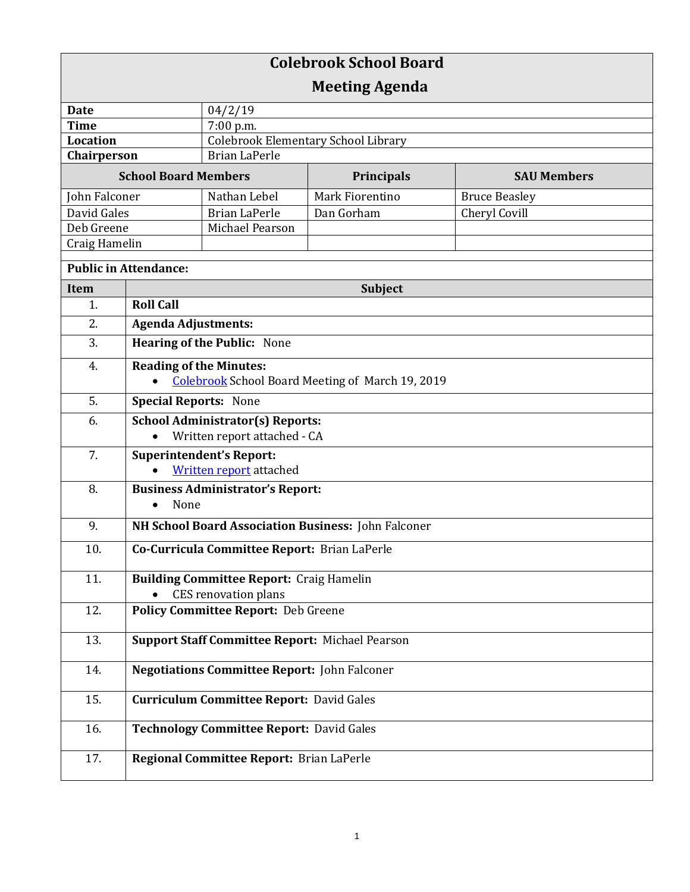| <b>Colebrook School Board</b> |                                                                                      |                                            |                   |                      |  |
|-------------------------------|--------------------------------------------------------------------------------------|--------------------------------------------|-------------------|----------------------|--|
| <b>Meeting Agenda</b>         |                                                                                      |                                            |                   |                      |  |
| <b>Date</b>                   |                                                                                      | 04/2/19                                    |                   |                      |  |
| <b>Time</b>                   |                                                                                      | 7:00 p.m.                                  |                   |                      |  |
| Location                      |                                                                                      | <b>Colebrook Elementary School Library</b> |                   |                      |  |
| Chairperson                   |                                                                                      | <b>Brian LaPerle</b>                       |                   |                      |  |
| <b>School Board Members</b>   |                                                                                      |                                            | <b>Principals</b> | <b>SAU Members</b>   |  |
| John Falconer                 |                                                                                      | Nathan Lebel                               | Mark Fiorentino   | <b>Bruce Beasley</b> |  |
| David Gales                   |                                                                                      | <b>Brian LaPerle</b>                       | Dan Gorham        | Cheryl Covill        |  |
| Deb Greene                    |                                                                                      | Michael Pearson                            |                   |                      |  |
| Craig Hamelin                 |                                                                                      |                                            |                   |                      |  |
| <b>Public in Attendance:</b>  |                                                                                      |                                            |                   |                      |  |
| <b>Item</b>                   | <b>Subject</b>                                                                       |                                            |                   |                      |  |
| 1.                            | <b>Roll Call</b>                                                                     |                                            |                   |                      |  |
| 2.                            | <b>Agenda Adjustments:</b>                                                           |                                            |                   |                      |  |
| 3.                            | <b>Hearing of the Public: None</b>                                                   |                                            |                   |                      |  |
| 4.                            | <b>Reading of the Minutes:</b>                                                       |                                            |                   |                      |  |
|                               | <b>Colebrook School Board Meeting of March 19, 2019</b>                              |                                            |                   |                      |  |
| 5.                            | <b>Special Reports: None</b>                                                         |                                            |                   |                      |  |
| 6.                            | <b>School Administrator(s) Reports:</b><br>Written report attached - CA<br>$\bullet$ |                                            |                   |                      |  |
| 7.                            | <b>Superintendent's Report:</b><br><b>Written report</b> attached                    |                                            |                   |                      |  |
| 8.                            | <b>Business Administrator's Report:</b><br>None<br>$\bullet$                         |                                            |                   |                      |  |
| 9.                            | NH School Board Association Business: John Falconer                                  |                                            |                   |                      |  |
| 10.                           | Co-Curricula Committee Report: Brian LaPerle                                         |                                            |                   |                      |  |
| 11.                           | <b>Building Committee Report: Craig Hamelin</b><br>CES renovation plans              |                                            |                   |                      |  |
| 12.                           | Policy Committee Report: Deb Greene                                                  |                                            |                   |                      |  |
| 13.                           | <b>Support Staff Committee Report: Michael Pearson</b>                               |                                            |                   |                      |  |
| 14.                           | <b>Negotiations Committee Report: John Falconer</b>                                  |                                            |                   |                      |  |
| 15.                           | <b>Curriculum Committee Report: David Gales</b>                                      |                                            |                   |                      |  |
| 16.                           | <b>Technology Committee Report: David Gales</b>                                      |                                            |                   |                      |  |
| 17.                           | Regional Committee Report: Brian LaPerle                                             |                                            |                   |                      |  |